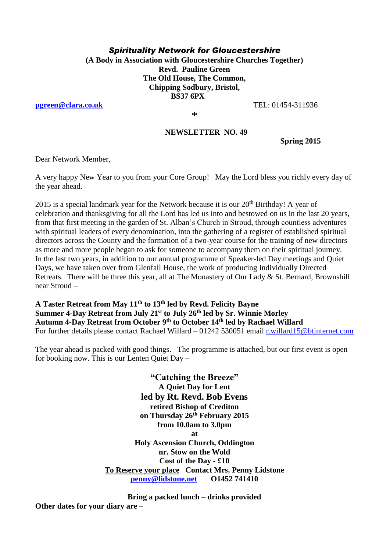## *Spirituality Network for Gloucestershire*

**(A Body in Association with Gloucestershire Churches Together) Revd. Pauline Green The Old House, The Common, Chipping Sodbury, Bristol, BS37 6PX**

**[pgreen@clara.co.uk](mailto:pgreen@clara.co.uk)** TEL: 01454-311936

**+** 

## **NEWSLETTER NO. 49**

**Spring 2015**

Dear Network Member,

A very happy New Year to you from your Core Group! May the Lord bless you richly every day of the year ahead.

2015 is a special landmark year for the Network because it is our  $20<sup>th</sup>$  Birthday! A vear of celebration and thanksgiving for all the Lord has led us into and bestowed on us in the last 20 years, from that first meeting in the garden of St. Alban's Church in Stroud, through countless adventures with spiritual leaders of every denomination, into the gathering of a register of established spiritual directors across the County and the formation of a two-year course for the training of new directors as more and more people began to ask for someone to accompany them on their spiritual journey. In the last two years, in addition to our annual programme of Speaker-led Day meetings and Quiet Days, we have taken over from Glenfall House, the work of producing Individually Directed Retreats. There will be three this year, all at The Monastery of Our Lady & St. Bernard, Brownshill near Stroud –

**A Taster Retreat from May 11th to 13th led by Revd. Felicity Bayne Summer 4-Day Retreat from July 21st to July 26th led by Sr. Winnie Morley Autumn 4-Day Retreat from October 9th to October 14th led by Rachael Willard** For further details please contact Rachael Willard – 01242 530051 email [r.willard15@btinternet.com](mailto:r.willard15@btinternet.com)

The year ahead is packed with good things. The programme is attached, but our first event is open for booking now. This is our Lenten Quiet Day –

> **"Catching the Breeze" A Quiet Day for Lent led by Rt. Revd. Bob Evens retired Bishop of Crediton on Thursday 26th February 2015 from 10.0am to 3.0pm at Holy Ascension Church, Oddington nr. Stow on the Wold Cost of the Day - £10 To Reserve your place Contact Mrs. Penny Lidstone [penny@lidstone.net](mailto:penny@lidstone.net) O1452 741410**

**Bring a packed lunch – drinks provided Other dates for your diary are –**